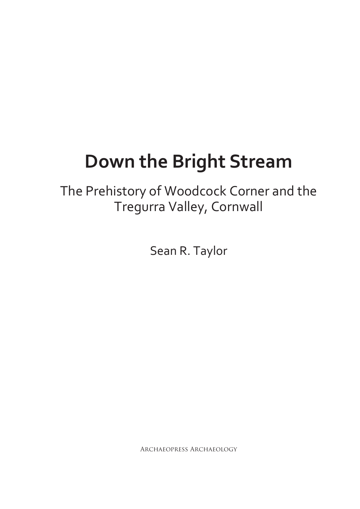# **Down the Bright Stream**

The Prehistory of Woodcock Corner and the Tregurra Valley, Cornwall

Sean R. Taylor

Archaeopress Archaeology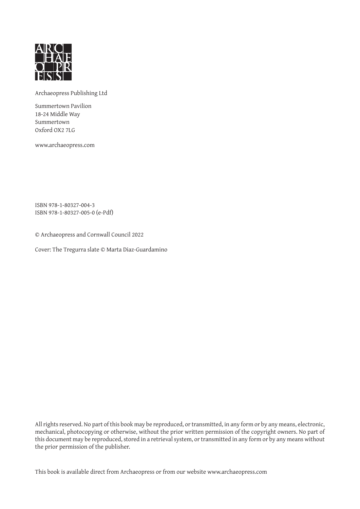

Archaeopress Publishing Ltd

Summertown Pavilion 18-24 Middle Way Summertown Oxford OX2 7LG

www.archaeopress.com

ISBN 978-1-80327-004-3 ISBN 978-1-80327-005-0 (e-Pdf)

© Archaeopress and Cornwall Council 2022

Cover: The Tregurra slate © Marta Diaz-Guardamino

All rights reserved. No part of this book may be reproduced, or transmitted, in any form or by any means, electronic, mechanical, photocopying or otherwise, without the prior written permission of the copyright owners. No part of this document may be reproduced, stored in a retrieval system, or transmitted in any form or by any means without the prior permission of the publisher.

This book is available direct from Archaeopress or from our website www.archaeopress.com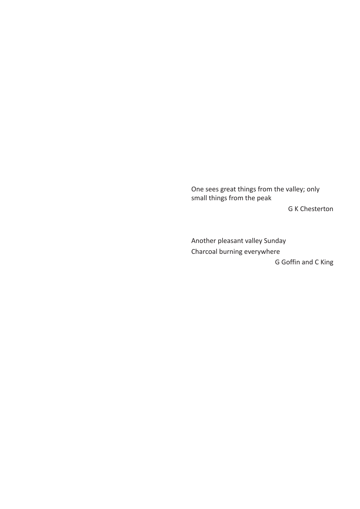One sees great things from the valley; only small things from the peak

G K Chesterton

Another pleasant valley Sunday Charcoal burning everywhere G Goffin and C King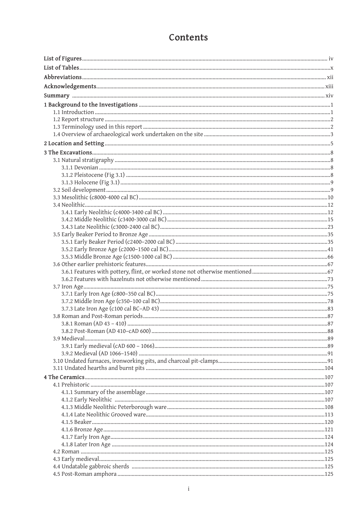## Contents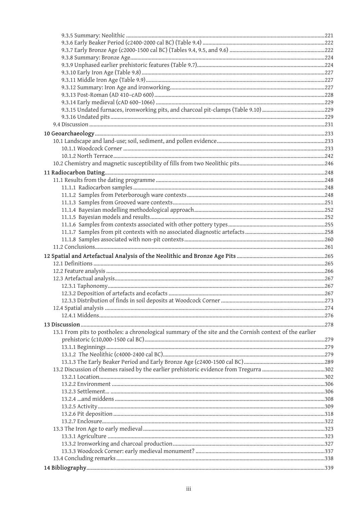| 13.1 From pits to postholes: a chronological summary of the site and the Cornish context of the earlier |  |
|---------------------------------------------------------------------------------------------------------|--|
|                                                                                                         |  |
|                                                                                                         |  |
|                                                                                                         |  |
|                                                                                                         |  |
|                                                                                                         |  |
|                                                                                                         |  |
|                                                                                                         |  |
|                                                                                                         |  |
|                                                                                                         |  |
|                                                                                                         |  |
|                                                                                                         |  |
|                                                                                                         |  |
|                                                                                                         |  |
|                                                                                                         |  |
|                                                                                                         |  |
|                                                                                                         |  |
|                                                                                                         |  |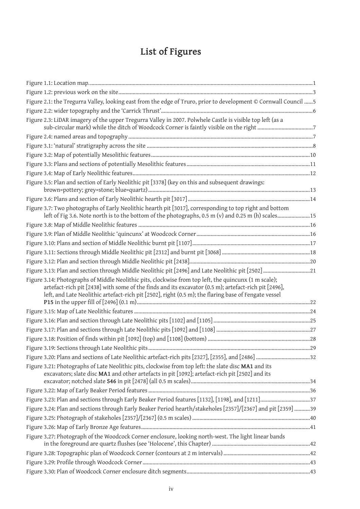# **List of Figures**

| Figure 2.1: the Tregurra Valley, looking east from the edge of Truro, prior to development © Cornwall Council 5                                                                                                                                                                                                       |  |
|-----------------------------------------------------------------------------------------------------------------------------------------------------------------------------------------------------------------------------------------------------------------------------------------------------------------------|--|
|                                                                                                                                                                                                                                                                                                                       |  |
| Figure 2.3: LiDAR imagery of the upper Tregurra Valley in 2007. Polwhele Castle is visible top left (as a                                                                                                                                                                                                             |  |
|                                                                                                                                                                                                                                                                                                                       |  |
|                                                                                                                                                                                                                                                                                                                       |  |
|                                                                                                                                                                                                                                                                                                                       |  |
|                                                                                                                                                                                                                                                                                                                       |  |
|                                                                                                                                                                                                                                                                                                                       |  |
| Figure 3.5: Plan and section of Early Neolithic pit [3378] (key on this and subsequent drawings:                                                                                                                                                                                                                      |  |
|                                                                                                                                                                                                                                                                                                                       |  |
| Figure 3.7: Two photographs of Early Neolithic hearth pit [3017], corresponding to top right and bottom<br>left of Fig 3.6. Note north is to the bottom of the photographs, 0.5 m (v) and 0.25 m (h) scales15                                                                                                         |  |
|                                                                                                                                                                                                                                                                                                                       |  |
|                                                                                                                                                                                                                                                                                                                       |  |
|                                                                                                                                                                                                                                                                                                                       |  |
|                                                                                                                                                                                                                                                                                                                       |  |
|                                                                                                                                                                                                                                                                                                                       |  |
| Figure 3.13: Plan and section through Middle Neolithic pit [2496] and Late Neolithic pit [2502] 21                                                                                                                                                                                                                    |  |
| Figure 3.14: Photographs of Middle Neolithic pits, clockwise from top left, the quincunx (1 m scale);<br>artefact-rich pit [2438] with some of the finds and its excavator (0.5 m); artefact-rich pit [2496],<br>left, and Late Neolithic artefact-rich pit [2502], right (0.5 m); the flaring base of Fengate vessel |  |
|                                                                                                                                                                                                                                                                                                                       |  |
|                                                                                                                                                                                                                                                                                                                       |  |
|                                                                                                                                                                                                                                                                                                                       |  |
|                                                                                                                                                                                                                                                                                                                       |  |
|                                                                                                                                                                                                                                                                                                                       |  |
|                                                                                                                                                                                                                                                                                                                       |  |
| Figure 3.21: Photographs of Late Neolithic pits, clockwise from top left: the slate disc MA1 and its<br>excavators; slate disc MA1 and other artefacts in pit [1092]; artefact-rich pit [2502] and its                                                                                                                |  |
|                                                                                                                                                                                                                                                                                                                       |  |
| Figure 3.23: Plan and sections through Early Beaker Period features [1132], [1198], and [1211]37                                                                                                                                                                                                                      |  |
| Figure 3.24: Plan and sections through Early Beaker Period hearth/stakeholes [2357]/[2367] and pit [2359] 39                                                                                                                                                                                                          |  |
|                                                                                                                                                                                                                                                                                                                       |  |
|                                                                                                                                                                                                                                                                                                                       |  |
| Figure 3.27: Photograph of the Woodcock Corner enclosure, looking north-west. The light linear bands                                                                                                                                                                                                                  |  |
|                                                                                                                                                                                                                                                                                                                       |  |
|                                                                                                                                                                                                                                                                                                                       |  |
|                                                                                                                                                                                                                                                                                                                       |  |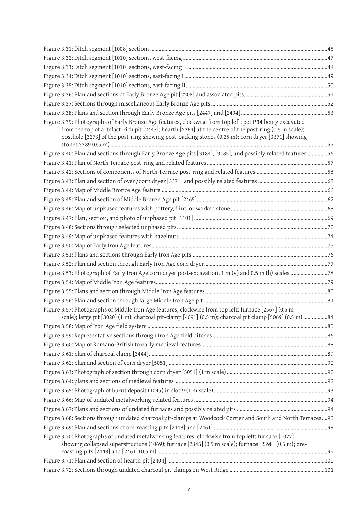| Figure 3.39: Photographs of Early Bronze Age features, clockwise from top left: pot P34 being excavated<br>from the top of artefact-rich pit [2447]; hearth [2364] at the centre of the post-ring (0.5 m scale);<br>posthole [3273] of the post-ring showing post-packing stones (0.25 m); corn dryer [3371] showing |  |
|----------------------------------------------------------------------------------------------------------------------------------------------------------------------------------------------------------------------------------------------------------------------------------------------------------------------|--|
| Figure 3.40: Plan and sections through Early Bronze Age pits [3184], [3185], and possibly related features 56                                                                                                                                                                                                        |  |
|                                                                                                                                                                                                                                                                                                                      |  |
|                                                                                                                                                                                                                                                                                                                      |  |
|                                                                                                                                                                                                                                                                                                                      |  |
|                                                                                                                                                                                                                                                                                                                      |  |
|                                                                                                                                                                                                                                                                                                                      |  |
|                                                                                                                                                                                                                                                                                                                      |  |
|                                                                                                                                                                                                                                                                                                                      |  |
|                                                                                                                                                                                                                                                                                                                      |  |
|                                                                                                                                                                                                                                                                                                                      |  |
|                                                                                                                                                                                                                                                                                                                      |  |
|                                                                                                                                                                                                                                                                                                                      |  |
|                                                                                                                                                                                                                                                                                                                      |  |
|                                                                                                                                                                                                                                                                                                                      |  |
|                                                                                                                                                                                                                                                                                                                      |  |
|                                                                                                                                                                                                                                                                                                                      |  |
|                                                                                                                                                                                                                                                                                                                      |  |
| Figure 3.57: Photographs of Middle Iron Age features, clockwise from top left: furnace [2567] (0.5 m<br>scale); large pit [3020] (1 m); charcoal pit-clamp [4091] (0.5 m); charcoal pit clamp [5069] (0.5 m) 84                                                                                                      |  |
|                                                                                                                                                                                                                                                                                                                      |  |
|                                                                                                                                                                                                                                                                                                                      |  |
|                                                                                                                                                                                                                                                                                                                      |  |
|                                                                                                                                                                                                                                                                                                                      |  |
|                                                                                                                                                                                                                                                                                                                      |  |
|                                                                                                                                                                                                                                                                                                                      |  |
|                                                                                                                                                                                                                                                                                                                      |  |
|                                                                                                                                                                                                                                                                                                                      |  |
|                                                                                                                                                                                                                                                                                                                      |  |
|                                                                                                                                                                                                                                                                                                                      |  |
| Figure 3.68: Sections through undated charcoal pit-clamps at Woodcock Corner and South and North Terraces95                                                                                                                                                                                                          |  |
|                                                                                                                                                                                                                                                                                                                      |  |
| Figure 3.70: Photographs of undated metalworking features, clockwise from top left: furnace [1077]                                                                                                                                                                                                                   |  |
| showing collapsed superstructure (1069); furnace [2345] (0.5 m scale); furnace [2398] (0.5 m); ore-                                                                                                                                                                                                                  |  |
|                                                                                                                                                                                                                                                                                                                      |  |
|                                                                                                                                                                                                                                                                                                                      |  |
|                                                                                                                                                                                                                                                                                                                      |  |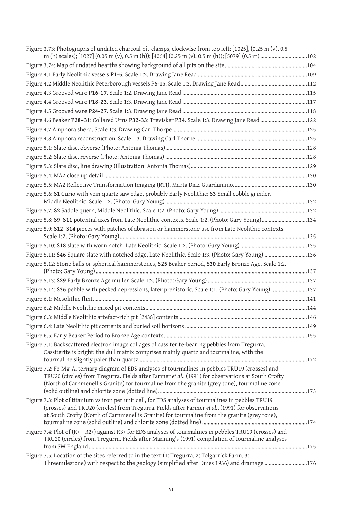| Figure 3.73: Photographs of undated charcoal pit-clamps, clockwise from top left: [1025], (0.25 m (v), 0.5                                                                                                                                                                                             |  |
|--------------------------------------------------------------------------------------------------------------------------------------------------------------------------------------------------------------------------------------------------------------------------------------------------------|--|
|                                                                                                                                                                                                                                                                                                        |  |
|                                                                                                                                                                                                                                                                                                        |  |
|                                                                                                                                                                                                                                                                                                        |  |
|                                                                                                                                                                                                                                                                                                        |  |
|                                                                                                                                                                                                                                                                                                        |  |
|                                                                                                                                                                                                                                                                                                        |  |
| Figure 4.6 Beaker P28-31: Collared Urns P32-33: Trevisker P34. Scale 1:3. Drawing Jane Read 122                                                                                                                                                                                                        |  |
|                                                                                                                                                                                                                                                                                                        |  |
|                                                                                                                                                                                                                                                                                                        |  |
|                                                                                                                                                                                                                                                                                                        |  |
|                                                                                                                                                                                                                                                                                                        |  |
|                                                                                                                                                                                                                                                                                                        |  |
|                                                                                                                                                                                                                                                                                                        |  |
|                                                                                                                                                                                                                                                                                                        |  |
| Figure 5.6: S1 Curio with vein quartz saw edge, probably Early Neolithic: S3 Small cobble grinder,                                                                                                                                                                                                     |  |
|                                                                                                                                                                                                                                                                                                        |  |
|                                                                                                                                                                                                                                                                                                        |  |
| Figure 5.8: S9-S11 potential axes from Late Neolithic contexts. Scale 1:2. (Photo: Gary Young)134                                                                                                                                                                                                      |  |
| Figure 5.9: S12-S14 pieces with patches of abrasion or hammerstone use from Late Neolithic contexts.                                                                                                                                                                                                   |  |
|                                                                                                                                                                                                                                                                                                        |  |
|                                                                                                                                                                                                                                                                                                        |  |
| Figure 5.11: S46 Square slate with notched edge, Late Neolithic. Scale 1:3. (Photo: Gary Young) 136                                                                                                                                                                                                    |  |
| Figure 5.12: Stone balls or spherical hammerstones, S25 Beaker period, S30 Early Bronze Age. Scale 1:2.                                                                                                                                                                                                |  |
|                                                                                                                                                                                                                                                                                                        |  |
| Figure 5.14: S36 pebble with pecked depressions, later prehistoric. Scale 1:1. (Photo: Gary Young) 137                                                                                                                                                                                                 |  |
|                                                                                                                                                                                                                                                                                                        |  |
|                                                                                                                                                                                                                                                                                                        |  |
|                                                                                                                                                                                                                                                                                                        |  |
|                                                                                                                                                                                                                                                                                                        |  |
|                                                                                                                                                                                                                                                                                                        |  |
| Figure 7.1: Backscattered electron image collages of cassiterite-bearing pebbles from Tregurra.<br>Cassiterite is bright; the dull matrix comprises mainly quartz and tourmaline, with the                                                                                                             |  |
| Figure 7.2: Fe-Mg-Al ternary diagram of EDS analyses of tourmalines in pebbles TRU19 (crosses) and<br>TRU20 (circles) from Tregurra. Fields after Farmer et al (1991) for observations at South Crofty<br>(North of Carnmenellis Granite) for tourmaline from the granite (grey tone), tourmaline zone |  |
| Figure 7.3: Plot of titanium vs iron per unit cell, for EDS analyses of tourmalines in pebbles TRU19<br>(crosses) and TRU20 (circles) from Tregurra. Fields after Farmer et al (1991) for observations<br>at South Crofty (North of Carnmenellis Granite) for tourmaline from the granite (grey tone), |  |
| Figure 7.4: Plot of (R+ + R2+) against R3+ for EDS analyses of tourmalines in pebbles TRU19 (crosses) and<br>TRU20 (circles) from Tregurra. Fields after Manning's (1991) compilation of tourmaline analyses                                                                                           |  |
| Figure 7.5: Location of the sites referred to in the text (1: Tregurra, 2: Tolgarrick Farm, 3:                                                                                                                                                                                                         |  |
|                                                                                                                                                                                                                                                                                                        |  |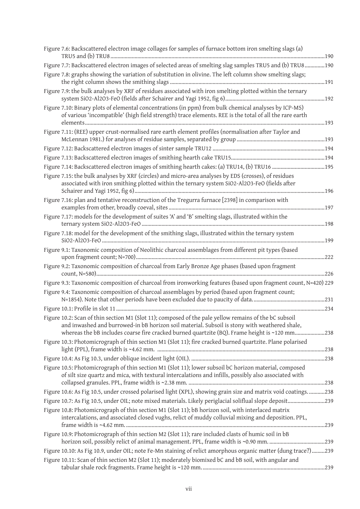| Figure 7.6: Backscattered electron image collages for samples of furnace bottom iron smelting slags (a)                                                                                                                                                                                                 |  |
|---------------------------------------------------------------------------------------------------------------------------------------------------------------------------------------------------------------------------------------------------------------------------------------------------------|--|
| Figure 7.7: Backscattered electron images of selected areas of smelting slag samples TRU5 and (b) TRU8190                                                                                                                                                                                               |  |
| Figure 7.8: graphs showing the variation of substitution in olivine. The left column show smelting slags;                                                                                                                                                                                               |  |
| Figure 7.9: the bulk analyses by XRF of residues associated with iron smelting plotted within the ternary                                                                                                                                                                                               |  |
| Figure 7.10: Binary plots of elemental concentrations (in ppm) from bulk chemical analyses by ICP-MS)<br>of various 'incompatible' (high field strength) trace elements. REE is the total of all the rare earth                                                                                         |  |
| Figure 7.11: (REE) upper crust-normalised rare earth element profiles (normalisation after Taylor and                                                                                                                                                                                                   |  |
|                                                                                                                                                                                                                                                                                                         |  |
|                                                                                                                                                                                                                                                                                                         |  |
| Figure 7.14: Backscattered electron images of smithing hearth cakes: (a) TRU14, (b) TRU16 195                                                                                                                                                                                                           |  |
| Figure 7.15: the bulk analyses by XRF (circles) and micro-area analyses by EDS (crosses), of residues<br>associated with iron smithing plotted within the ternary system SiO2-Al2O3-FeO (fields after                                                                                                   |  |
| Figure 7.16: plan and tentative reconstruction of the Tregurra furnace [2398] in comparison with                                                                                                                                                                                                        |  |
| Figure 7.17: models for the development of suites 'A' and 'B' smelting slags, illustrated within the                                                                                                                                                                                                    |  |
| Figure 7.18: model for the development of the smithing slags, illustrated within the ternary system                                                                                                                                                                                                     |  |
| Figure 9.1: Taxonomic composition of Neolithic charcoal assemblages from different pit types (based                                                                                                                                                                                                     |  |
| Figure 9.2: Taxonomic composition of charcoal from Early Bronze Age phases (based upon fragment                                                                                                                                                                                                         |  |
| Figure 9.3: Taxonomic composition of charcoal from ironworking features (based upon fragment count, N=420) 229                                                                                                                                                                                          |  |
| Figure 9.4: Taxonomic composition of charcoal assemblages by period (based upon fragment count;                                                                                                                                                                                                         |  |
|                                                                                                                                                                                                                                                                                                         |  |
| Figure 10.2: Scan of thin section M1 (Slot 11); composed of the pale yellow remains of the bC subsoil<br>and inwashed and burrowed-in bB horizon soil material. Subsoil is stony with weathered shale,<br>whereas the bB includes coarse fire cracked burned quartzite (BQ). Frame height is ~120 mm238 |  |
| Figure 10.3: Photomicrograph of thin section M1 (Slot 11); fire cracked burned quartzite. Plane polarised                                                                                                                                                                                               |  |
|                                                                                                                                                                                                                                                                                                         |  |
| Figure 10.5: Photomicrograph of thin section M1 (Slot 11); lower subsoil bC horizon material, composed<br>of silt size quartz and mica, with textural intercalations and infills, possibly also associated with                                                                                         |  |
| Figure 10.6: As Fig 10.5, under crossed polarised light (XPL), showing grain size and matrix void coatings238                                                                                                                                                                                           |  |
| Figure 10.7: As Fig 10.5, under OIL; note mixed materials. Likely periglacial soliflual slope deposit239                                                                                                                                                                                                |  |
| Figure 10.8: Photomicrograph of thin section M1 (Slot 11); bB horizon soil, with interlaced matrix<br>intercalations, and associated closed vughs, relict of muddy colluvial mixing and deposition. PPL,                                                                                                |  |
| Figure 10.9: Photomicrograph of thin section M2 (Slot 11); rare included clasts of humic soil in bB                                                                                                                                                                                                     |  |
| Figure 10.10: As Fig 10.9, under OIL; note Fe-Mn staining of relict amorphous organic matter (dung trace?)239                                                                                                                                                                                           |  |
| Figure 10.11: Scan of thin section M2 (Slot 11); moderately biomixed bC and bB soil, with angular and                                                                                                                                                                                                   |  |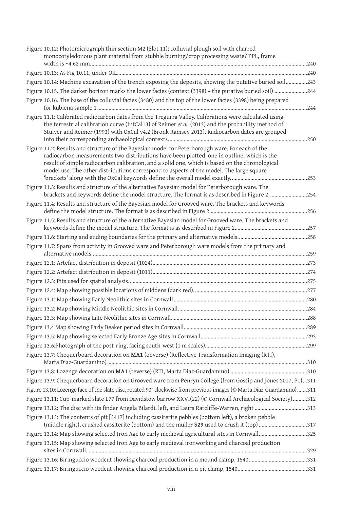| Figure 10.12: Photomicrograph thin section M2 (Slot 11); colluvial plough soil with charred<br>monocotyledonous plant material from stubble burning/crop processing waste? PPL, frame                                                                                                                                                                                                      |  |
|--------------------------------------------------------------------------------------------------------------------------------------------------------------------------------------------------------------------------------------------------------------------------------------------------------------------------------------------------------------------------------------------|--|
|                                                                                                                                                                                                                                                                                                                                                                                            |  |
| Figure 10.14: Machine excavation of the trench exposing the deposits, showing the putative buried soil243                                                                                                                                                                                                                                                                                  |  |
| Figure 10.15. The darker horizon marks the lower facies (context (3398) - the putative buried soil) 244                                                                                                                                                                                                                                                                                    |  |
| Figure 10.16. The base of the colluvial facies (3480) and the top of the lower facies (3398) being prepared                                                                                                                                                                                                                                                                                |  |
| Figure 11.1: Calibrated radiocarbon dates from the Tregurra Valley. Calibrations were calculated using<br>the terrestrial calibration curve (IntCal13) of Reimer et al. (2013) and the probability method of<br>Stuiver and Reimer (1993) with OxCal v4.2 (Bronk Ramsey 2013). Radiocarbon dates are grouped                                                                               |  |
| Figure 11.2: Results and structure of the Bayesian model for Peterborough ware. For each of the<br>radiocarbon measurements two distributions have been plotted, one in outline, which is the<br>result of simple radiocarbon calibration, and a solid one, which is based on the chronological<br>model use. The other distributions correspond to aspects of the model. The large square |  |
| Figure 11.3: Results and structure of the alternative Bayesian model for Peterborough ware. The<br>brackets and keywords define the model structure. The format is as described in Figure 2254                                                                                                                                                                                             |  |
| Figure 11.4: Results and structure of the Bayesian model for Grooved ware. The brackets and keywords                                                                                                                                                                                                                                                                                       |  |
| Figure 11.5: Results and structure of the alternative Bayesian model for Grooved ware. The brackets and                                                                                                                                                                                                                                                                                    |  |
|                                                                                                                                                                                                                                                                                                                                                                                            |  |
|                                                                                                                                                                                                                                                                                                                                                                                            |  |
| Figure 11.7: Spans from activity in Grooved ware and Peterborough ware models from the primary and                                                                                                                                                                                                                                                                                         |  |
|                                                                                                                                                                                                                                                                                                                                                                                            |  |
|                                                                                                                                                                                                                                                                                                                                                                                            |  |
|                                                                                                                                                                                                                                                                                                                                                                                            |  |
|                                                                                                                                                                                                                                                                                                                                                                                            |  |
|                                                                                                                                                                                                                                                                                                                                                                                            |  |
|                                                                                                                                                                                                                                                                                                                                                                                            |  |
|                                                                                                                                                                                                                                                                                                                                                                                            |  |
|                                                                                                                                                                                                                                                                                                                                                                                            |  |
|                                                                                                                                                                                                                                                                                                                                                                                            |  |
|                                                                                                                                                                                                                                                                                                                                                                                            |  |
| Figure 13.7: Chequerboard decoration on MA1 (obverse) (Reflective Transformation Imaging (RTI),                                                                                                                                                                                                                                                                                            |  |
|                                                                                                                                                                                                                                                                                                                                                                                            |  |
| Figure 13.9: Chequerboard decoration on Grooved ware from Penryn College (from Gossip and Jones 2017, P1)311                                                                                                                                                                                                                                                                               |  |
| Figure 13.10: Lozenge face of the slate disc, rotated 90° clockwise from previous images (© Marta Diaz-Guardamino)311                                                                                                                                                                                                                                                                      |  |
| Figure 13.11: Cup-marked slate L77 from Davidstow barrow XXVI(22) (© Cornwall Archaeological Society)312                                                                                                                                                                                                                                                                                   |  |
| Figure 13.12: The disc with its finder Angela Bilardi, left, and Laura Ratcliffe-Warren, right 313                                                                                                                                                                                                                                                                                         |  |
| Figure 13.13: The contents of pit [3417] including cassiterite pebbles (bottom left), a broken pebble<br>(middle right), crushed cassiterite (bottom) and the muller S29 used to crush it (top) 317                                                                                                                                                                                        |  |
| Figure 13.14: Map showing selected Iron Age to early medieval agricultural sites in Cornwall325                                                                                                                                                                                                                                                                                            |  |
| Figure 13.15: Map showing selected Iron Age to early medieval ironworking and charcoal production                                                                                                                                                                                                                                                                                          |  |
| Figure 13.16: Biringuccio woodcut showing charcoal production in a mound clamp, 1540331                                                                                                                                                                                                                                                                                                    |  |
|                                                                                                                                                                                                                                                                                                                                                                                            |  |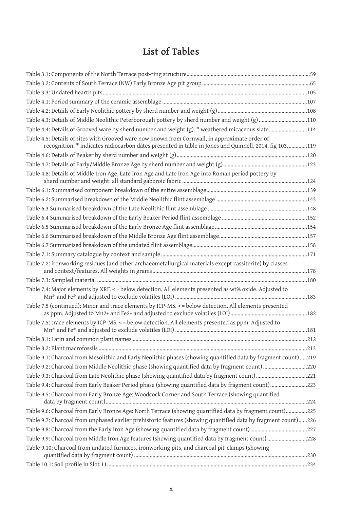# **List of Tables**

| Table 4.3: Details of Middle Neolithic Peterborough pottery by sherd number and weight (g) 110                                                                                                          |  |
|---------------------------------------------------------------------------------------------------------------------------------------------------------------------------------------------------------|--|
| Table 4.4: Details of Grooved ware by sherd number and weight (g). * weathered micaceous slate114                                                                                                       |  |
| Table 4.5: Details of sites with Grooved ware now known from Cornwall, in approximate order of<br>recognition. * indicates radiocarbon dates presented in table in Jones and Quinnell, 2014, fig 103119 |  |
|                                                                                                                                                                                                         |  |
|                                                                                                                                                                                                         |  |
| Table 4.8: Details of Middle Iron Age, Late Iron Age and Late Iron Age into Roman period pottery by                                                                                                     |  |
|                                                                                                                                                                                                         |  |
|                                                                                                                                                                                                         |  |
|                                                                                                                                                                                                         |  |
|                                                                                                                                                                                                         |  |
|                                                                                                                                                                                                         |  |
|                                                                                                                                                                                                         |  |
|                                                                                                                                                                                                         |  |
|                                                                                                                                                                                                         |  |
| Table 7.2: ironworking residues (and other archaeometallurgical materials except cassiterite) by classes                                                                                                |  |
|                                                                                                                                                                                                         |  |
| Table 7.4: Major elements by XRF. < = below detection. All elements presented as wt% oxide. Adjusted to                                                                                                 |  |
| Table 7.5 (continued): Minor and trace elements by ICP-MS. < = below detection. All elements presented                                                                                                  |  |
| Table 7.5: trace elements by ICP-MS. < = below detection. All elements presented as ppm. Adjusted to                                                                                                    |  |
|                                                                                                                                                                                                         |  |
|                                                                                                                                                                                                         |  |
| Table 9.1: Charcoal from Mesolithic and Early Neolithic phases (showing quantified data by fragment count) 219                                                                                          |  |
| Table 9.2: Charcoal from Middle Neolithic phase (showing quantified data by fragment count) 220                                                                                                         |  |
| Table 9.3: Charcoal from Late Neolithic phase (showing quantified data by fragment count)221                                                                                                            |  |
| Table 9.4: Charcoal from Early Beaker Period phase (showing quantified data by fragment count)223                                                                                                       |  |
| Table 9.5: Charcoal from Early Bronze Age: Woodcock Corner and South Terrace (showing quantified                                                                                                        |  |
| Table 9.6: Charcoal from Early Bronze Age: North Terrace (showing quantified data by fragment count)225                                                                                                 |  |
| Table 9.7: Charcoal from unphased earlier prehistoric features (showing quantified data by fragment count)226                                                                                           |  |
|                                                                                                                                                                                                         |  |
| Table 9.9: Charcoal from Middle Iron Age features (showing quantified data by fragment count) 228                                                                                                       |  |
| Table 9.10: Charcoal from undated furnaces, ironworking pits, and charcoal pit-clamps (showing                                                                                                          |  |
|                                                                                                                                                                                                         |  |
|                                                                                                                                                                                                         |  |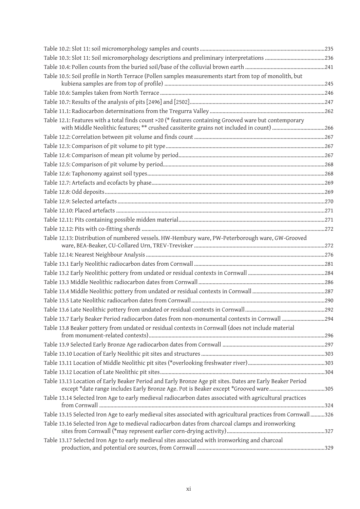| Table 10.5: Soil profile in North Terrace (Pollen samples measurements start from top of monolith, but                                                                                             |  |
|----------------------------------------------------------------------------------------------------------------------------------------------------------------------------------------------------|--|
|                                                                                                                                                                                                    |  |
|                                                                                                                                                                                                    |  |
|                                                                                                                                                                                                    |  |
| Table 12.1: Features with a total finds count >20 (* features containing Grooved ware but contemporary<br>with Middle Neolithic features; ** crushed cassiterite grains not included in count) 266 |  |
|                                                                                                                                                                                                    |  |
|                                                                                                                                                                                                    |  |
|                                                                                                                                                                                                    |  |
|                                                                                                                                                                                                    |  |
|                                                                                                                                                                                                    |  |
|                                                                                                                                                                                                    |  |
|                                                                                                                                                                                                    |  |
|                                                                                                                                                                                                    |  |
|                                                                                                                                                                                                    |  |
|                                                                                                                                                                                                    |  |
|                                                                                                                                                                                                    |  |
| Table 12.13: Distribution of numbered vessels. HW-Hembury ware, PW-Peterborough ware, GW-Grooved                                                                                                   |  |
|                                                                                                                                                                                                    |  |
|                                                                                                                                                                                                    |  |
|                                                                                                                                                                                                    |  |
|                                                                                                                                                                                                    |  |
|                                                                                                                                                                                                    |  |
|                                                                                                                                                                                                    |  |
|                                                                                                                                                                                                    |  |
| Table 13.7 Early Beaker Period radiocarbon dates from non-monumental contexts in Cornwall 294                                                                                                      |  |
| Table 13.8 Beaker pottery from undated or residual contexts in Cornwall (does not include material                                                                                                 |  |
|                                                                                                                                                                                                    |  |
|                                                                                                                                                                                                    |  |
|                                                                                                                                                                                                    |  |
|                                                                                                                                                                                                    |  |
| Table 13.13 Location of Early Beaker Period and Early Bronze Age pit sites. Dates are Early Beaker Period<br>except *date range includes Early Bronze Age. Pot is Beaker except *Grooved ware305   |  |
| Table 13.14 Selected Iron Age to early medieval radiocarbon dates associated with agricultural practices                                                                                           |  |
| 726 Table 13.15 Selected Iron Age to early medieval sites associated with agricultural practices from Cornwall                                                                                     |  |
| Table 13.16 Selected Iron Age to medieval radiocarbon dates from charcoal clamps and ironworking                                                                                                   |  |
| Table 13.17 Selected Iron Age to early medieval sites associated with ironworking and charcoal                                                                                                     |  |
|                                                                                                                                                                                                    |  |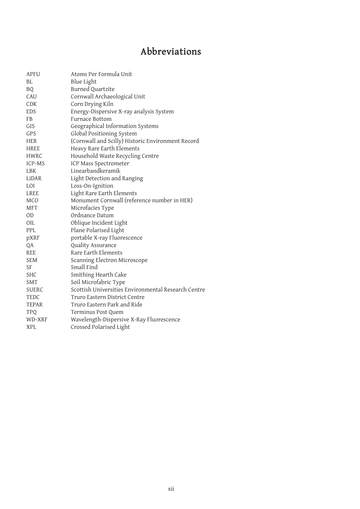# **Abbreviations**

| <b>APFU</b>  | Atoms Per Formula Unit                              |
|--------------|-----------------------------------------------------|
| BL           | <b>Blue Light</b>                                   |
| BQ.          | Burned Quartzite                                    |
| CAU          | Cornwall Archaeological Unit                        |
| <b>CDK</b>   | Corn Drying Kiln                                    |
| <b>EDS</b>   | Energy-Dispersive X-ray analysis System             |
| FB           | Furnace Bottom                                      |
| GIS          | Geographical Information Systems                    |
| <b>GPS</b>   | Global Positioning System                           |
| <b>HER</b>   | (Cornwall and Scilly) Historic Environment Record   |
| <b>HREE</b>  | Heavy Rare Earth Elements                           |
| <b>HWRC</b>  | Household Waste Recycling Centre                    |
| ICP-MS       | ICP Mass Spectrometer                               |
| <b>LBK</b>   | Linearbandkeramik                                   |
| LiDAR        | Light Detection and Ranging                         |
| LOI          | Loss-On-Ignition                                    |
| LREE         | Light Rare Earth Elements                           |
| <b>MCO</b>   | Monument Cornwall (reference number in HER)         |
| <b>MFT</b>   | Microfacies Type                                    |
| <b>OD</b>    | Ordnance Datum                                      |
| OIL          | Oblique Incident Light                              |
| PPL          | Plane Polarised Light                               |
| pXRF         | portable X-ray Fluorescence                         |
| QA           | Quality Assurance                                   |
| <b>REE</b>   | Rare Earth Elements                                 |
| <b>SEM</b>   | Scanning Electron Microscope                        |
| <b>SF</b>    | Small Find                                          |
| <b>SHC</b>   | Smithing Hearth Cake                                |
| <b>SMT</b>   | Soil Microfabric Type                               |
| <b>SUERC</b> | Scottish Universities Environmental Research Centre |
| TEDC         | Truro Eastern District Centre                       |
| <b>TEPAR</b> | Truro Eastern Park and Ride                         |
| <b>TPQ</b>   | Terminus Post Quem                                  |
| WD-XRF       | Wavelength-Dispersive X-Ray Fluorescence            |
| <b>XPL</b>   | Crossed Polarised Light                             |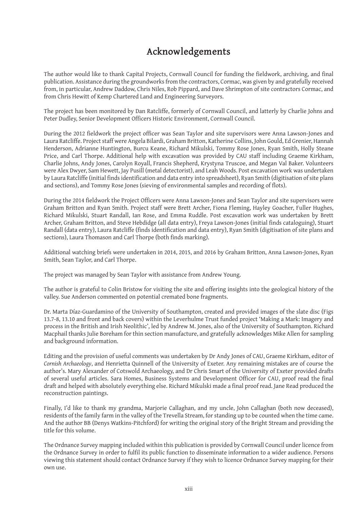## **Acknowledgements**

The author would like to thank Capital Projects, Cornwall Council for funding the fieldwork, archiving, and final publication. Assistance during the groundworks from the contractors, Cormac, was given by and gratefully received from, in particular, Andrew Daddow, Chris Niles, Rob Pippard, and Dave Shrimpton of site contractors Cormac, and from Chris Hewitt of Kemp Chartered Land and Engineering Surveyors.

The project has been monitored by Dan Ratcliffe, formerly of Cornwall Council, and latterly by Charlie Johns and Peter Dudley, Senior Development Officers Historic Environment, Cornwall Council.

During the 2012 fieldwork the project officer was Sean Taylor and site supervisors were Anna Lawson-Jones and Laura Ratcliffe. Project staff were Angela Bilardi, Graham Britton, Katherine Collins, John Gould, Ed Grenier, Hannah Henderson, Adrianne Huntington, Burcu Keane, Richard Mikulski, Tommy Rose Jones, Ryan Smith, Holly Steane Price, and Carl Thorpe. Additional help with excavation was provided by CAU staff including Graeme Kirkham, Charlie Johns, Andy Jones, Carolyn Royall, Francis Shepherd, Krystyna Truscoe, and Megan Val Baker. Volunteers were Alex Dwyer, Sam Hewett, Jay Pusill (metal detectorist), and Leah Woods. Post excavation work was undertaken by Laura Ratcliffe (initial finds identification and data entry into spreadsheet), Ryan Smith (digitisation of site plans and sections), and Tommy Rose Jones (sieving of environmental samples and recording of flots).

During the 2014 fieldwork the Project Officers were Anna Lawson-Jones and Sean Taylor and site supervisors were Graham Britton and Ryan Smith. Project staff were Brett Archer, Fiona Fleming, Hayley Goacher, Fuller Hughes, Richard Mikulski, Stuart Randall, Ian Rose, and Emma Ruddle. Post excavation work was undertaken by Brett Archer, Graham Britton, and Steve Hebdidge (all data entry), Freya Lawson-Jones (initial finds cataloguing), Stuart Randall (data entry), Laura Ratcliffe (finds identification and data entry), Ryan Smith (digitisation of site plans and sections), Laura Thomason and Carl Thorpe (both finds marking).

Additional watching briefs were undertaken in 2014, 2015, and 2016 by Graham Britton, Anna Lawson-Jones, Ryan Smith, Sean Taylor, and Carl Thorpe.

The project was managed by Sean Taylor with assistance from Andrew Young.

The author is grateful to Colin Bristow for visiting the site and offering insights into the geological history of the valley. Sue Anderson commented on potential cremated bone fragments.

Dr. Marta Díaz-Guardamino of the University of Southampton, created and provided images of the slate disc (Figs 13.7-8, 13.10 and front and back covers) within the Leverhulme Trust funded project 'Making a Mark: Imagery and process in the British and Irish Neolithic', led by Andrew M. Jones, also of the University of Southampton. Richard Macphail thanks Julie Boreham for thin section manufacture, and gratefully acknowledges Mike Allen for sampling and background information.

Editing and the provision of useful comments was undertaken by Dr Andy Jones of CAU, Graeme Kirkham, editor of *Cornish Archaeology*, and Henrietta Quinnell of the University of Exeter. Any remaining mistakes are of course the author's. Mary Alexander of Cotswold Archaeology, and Dr Chris Smart of the University of Exeter provided drafts of several useful articles. Sara Homes, Business Systems and Development Officer for CAU, proof read the final draft and helped with absolutely everything else. Richard Mikulski made a final proof read. Jane Read produced the reconstruction paintings.

Finally, I'd like to thank my grandma, Marjorie Callaghan, and my uncle, John Callaghan (both now deceased), residents of the family farm in the valley of the Trevella Stream, for standing up to be counted when the time came. And the author BB (Denys Watkins-Pitchford) for writing the original story of the Bright Stream and providing the title for this volume.

The Ordnance Survey mapping included within this publication is provided by Cornwall Council under licence from the Ordnance Survey in order to fulfil its public function to disseminate information to a wider audience. Persons viewing this statement should contact Ordnance Survey if they wish to licence Ordnance Survey mapping for their own use.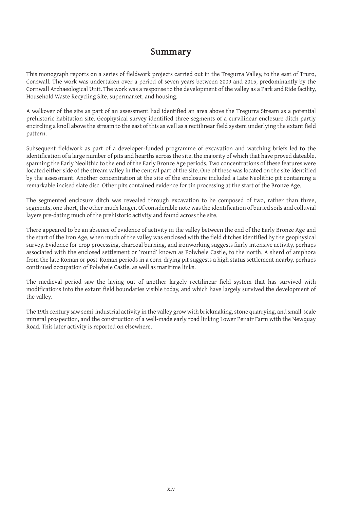## **Summary**

This monograph reports on a series of fieldwork projects carried out in the Tregurra Valley, to the east of Truro, Cornwall. The work was undertaken over a period of seven years between 2009 and 2015, predominantly by the Cornwall Archaeological Unit. The work was a response to the development of the valley as a Park and Ride facility, Household Waste Recycling Site, supermarket, and housing.

A walkover of the site as part of an assessment had identified an area above the Tregurra Stream as a potential prehistoric habitation site. Geophysical survey identified three segments of a curvilinear enclosure ditch partly encircling a knoll above the stream to the east of this as well as a rectilinear field system underlying the extant field pattern.

Subsequent fieldwork as part of a developer-funded programme of excavation and watching briefs led to the identification of a large number of pits and hearths across the site, the majority of which that have proved dateable, spanning the Early Neolithic to the end of the Early Bronze Age periods. Two concentrations of these features were located either side of the stream valley in the central part of the site. One of these was located on the site identified by the assessment. Another concentration at the site of the enclosure included a Late Neolithic pit containing a remarkable incised slate disc. Other pits contained evidence for tin processing at the start of the Bronze Age.

The segmented enclosure ditch was revealed through excavation to be composed of two, rather than three, segments, one short, the other much longer. Of considerable note was the identification of buried soils and colluvial layers pre-dating much of the prehistoric activity and found across the site.

There appeared to be an absence of evidence of activity in the valley between the end of the Early Bronze Age and the start of the Iron Age, when much of the valley was enclosed with the field ditches identified by the geophysical survey. Evidence for crop processing, charcoal burning, and ironworking suggests fairly intensive activity, perhaps associated with the enclosed settlement or 'round' known as Polwhele Castle, to the north. A sherd of amphora from the late Roman or post-Roman periods in a corn-drying pit suggests a high status settlement nearby, perhaps continued occupation of Polwhele Castle, as well as maritime links.

The medieval period saw the laying out of another largely rectilinear field system that has survived with modifications into the extant field boundaries visible today, and which have largely survived the development of the valley.

The 19th century saw semi-industrial activity in the valley grow with brickmaking, stone quarrying, and small-scale mineral prospection, and the construction of a well-made early road linking Lower Penair Farm with the Newquay Road. This later activity is reported on elsewhere.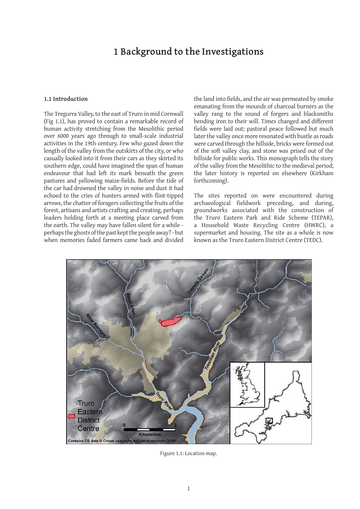## **1 Background to the Investigations**

#### **1.1 Introduction**

The Tregurra Valley, to the east of Truro in mid Cornwall (Fig 1.1), has proved to contain a remarkable record of human activity stretching from the Mesolithic period over 6000 years ago through to small-scale industrial activities in the 19th century. Few who gazed down the length of the valley from the outskirts of the city, or who casually looked into it from their cars as they skirted its southern edge, could have imagined the span of human endeavour that had left its mark beneath the green pastures and yellowing maize-fields. Before the tide of the car had drowned the valley in noise and dust it had echoed to the cries of hunters armed with flint-tipped arrows, the chatter of foragers collecting the fruits of the forest, artisans and artists crafting and creating, perhaps leaders holding forth at a meeting place carved from the earth. The valley may have fallen silent for a while perhaps the ghosts of the past kept the people away? - but when memories faded farmers came back and divided

the land into fields, and the air was permeated by smoke emanating from the mounds of charcoal burners as the valley rang to the sound of forgers and blacksmiths bending iron to their will. Times changed and different fields were laid out; pastoral peace followed but much later the valley once more resonated with bustle as roads were carved through the hillside, bricks were formed out of the soft valley clay, and stone was prised out of the hillside for public works. This monograph tells the story of the valley from the Mesolithic to the medieval period; the later history is reported on elsewhere (Kirkham forthcoming).

The sites reported on were encountered during archaeological fieldwork preceding, and during, groundworks associated with the construction of the Truro Eastern Park and Ride Scheme (TEPAR), a Household Waste Recycling Centre (HWRC), a supermarket and housing. The site as a whole is now known as the Truro Eastern District Centre (TEDC).



Figure 1.1: Location map.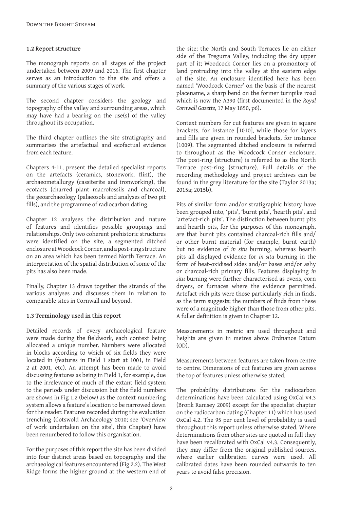### **1.2 Report structure**

The monograph reports on all stages of the project undertaken between 2009 and 2016. The first chapter serves as an introduction to the site and offers a summary of the various stages of work.

The second chapter considers the geology and topography of the valley and surrounding areas, which may have had a bearing on the use(s) of the valley throughout its occupation.

The third chapter outlines the site stratigraphy and summarises the artefactual and ecofactual evidence from each feature.

Chapters 4-11, present the detailed specialist reports on the artefacts (ceramics, stonework, flint), the archaeometallurgy (cassiterite and ironworking), the ecofacts (charred plant macrofossils and charcoal), the geoarchaeology (palaeosols and analyses of two pit fills), and the programme of radiocarbon dating.

Chapter 12 analyses the distribution and nature of features and identifies possible groupings and relationships. Only two coherent prehistoric structures were identified on the site, a segmented ditched enclosure at Woodcock Corner, and a post-ring structure on an area which has been termed North Terrace. An interpretation of the spatial distribution of some of the pits has also been made.

Finally, Chapter 13 draws together the strands of the various analyses and discusses them in relation to comparable sites in Cornwall and beyond.

## **1.3 Terminology used in this report**

Detailed records of every archaeological feature were made during the fieldwork, each context being allocated a unique number. Numbers were allocated in blocks according to which of six fields they were located in (features in Field 1 start at 1001, in Field 2 at 2001, etc). An attempt has been made to avoid discussing features as being in Field 1, for example, due to the irrelevance of much of the extant field system to the periods under discussion but the field numbers are shown in Fig 1.2 (below) as the context numbering system allows a feature's location to be narrowed down for the reader. Features recorded during the evaluation trenching (Cotswold Archaeology 2010; see 'Overview of work undertaken on the site', this Chapter) have been renumbered to follow this organisation.

For the purposes of this report the site has been divided into four distinct areas based on topography and the archaeological features encountered (Fig 2.2). The West Ridge forms the higher ground at the western end of the site; the North and South Terraces lie on either side of the Tregurra Valley, including the dry upper part of it; Woodcock Corner lies on a promontory of land protruding into the valley at the eastern edge of the site. An enclosure identified here has been named 'Woodcock Corner' on the basis of the nearest placename, a sharp bend on the former turnpike road which is now the A390 (first documented in the *Royal Cornwall Gazette,* 17 May 1850, p6).

Context numbers for cut features are given in square brackets, for instance [1010], while those for layers and fills are given in rounded brackets, for instance (1009). The segmented ditched enclosure is referred to throughout as the Woodcock Corner enclosure. The post-ring (structure) is referred to as the North Terrace post-ring (structure). Full details of the recording methodology and project archives can be found in the grey literature for the site (Taylor 2013a; 2015a; 2015b).

Pits of similar form and/or stratigraphic history have been grouped into, 'pits', 'burnt pits', 'hearth pits', and 'artefact-rich pits'. The distinction between burnt pits and hearth pits, for the purposes of this monograph, are that burnt pits contained charcoal-rich fills and/ or other burnt material (for example, burnt earth) but no evidence of *in situ* burning, whereas hearth pits all displayed evidence for *in situ* burning in the form of heat-oxidised sides and/or bases and/or ashy or charcoal-rich primary fills. Features displaying *in situ* burning were further characterised as ovens, corn dryers, or furnaces where the evidence permitted. Artefact-rich pits were those particularly rich in finds, as the term suggests; the numbers of finds from these were of a magnitude higher than those from other pits. A fuller definition is given in Chapter 12.

Measurements in metric are used throughout and heights are given in metres above Ordnance Datum  $(OD)$ .

Measurements between features are taken from centre to centre. Dimensions of cut features are given across the top of features unless otherwise stated.

The probability distributions for the radiocarbon determinations have been calculated using OxCal v4.3 (Bronk Ramsey 2009) except for the specialist chapter on the radiocarbon dating (Chapter 11) which has used OxCal 4.2. The 95 per cent level of probability is used throughout this report unless otherwise stated. Where determinations from other sites are quoted in full they have been recalibrated with OxCal v4.3. Consequently, they may differ from the original published sources, where earlier calibration curves were used. All calibrated dates have been rounded outwards to ten years to avoid false precision.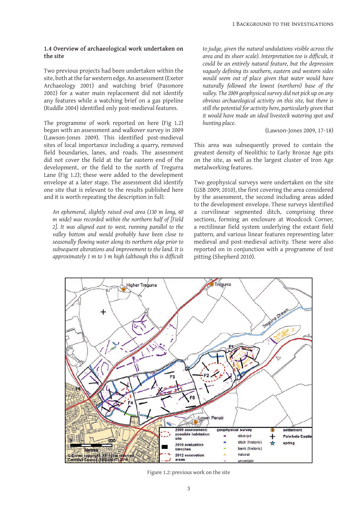### **1.4 Overview of archaeological work undertaken on the site**

Two previous projects had been undertaken within the site, both at the far western edge. An assessment (Exeter Archaeology 2001) and watching brief (Passmore 2002) for a water main replacement did not identify any features while a watching brief on a gas pipeline (Ruddle 2004) identified only post-medieval features.

The programme of work reported on here (Fig 1.2) began with an assessment and walkover survey in 2009 (Lawson-Jones 2009). This identified post-medieval sites of local importance including a quarry, removed field boundaries, lanes, and roads. The assessment did not cover the field at the far eastern end of the development, or the field to the north of Tregurra Lane (Fig 1.2); these were added to the development envelope at a later stage. The assessment did identify one site that is relevant to the results published here and it is worth repeating the description in full:

*An ephemeral, slightly raised oval area (130 m long, 60 m wide) was recorded within the northern half of [Field 2]. It was aligned east to west, running parallel to the valley bottom and would probably have been close to seasonally flowing water along its northern edge prior to subsequent alterations and improvement to the land. It is approximately 1 m to 3 m high (although this is difficult*  *to judge, given the natural undulations visible across the area and its sheer scale). Interpretation too is difficult, it could be an entirely natural feature, but the depression vaguely defining its southern, eastern and western sides would seem out of place given that water would have naturally followed the lowest (northern) base of the valley. The 2009 geophysical survey did not pick up on any obvious archaeological activity on this site, but there is still the potential for activity here, particularly given that it would have made an ideal livestock watering spot and hunting place.*

(Lawson-Jones 2009, 17-18)

This area was subsequently proved to contain the greatest density of Neolithic to Early Bronze Age pits on the site, as well as the largest cluster of Iron Age metalworking features.

Two geophysical surveys were undertaken on the site (GSB 2009; 2010), the first covering the area considered by the assessment, the second including areas added to the development envelope. These surveys identified a curvilinear segmented ditch, comprising three sections, forming an enclosure at Woodcock Corner, a rectilinear field system underlying the extant field pattern, and various linear features representing later medieval and post-medieval activity. These were also reported on in conjunction with a programme of test pitting (Shepherd 2010).



Figure 1.2: previous work on the site